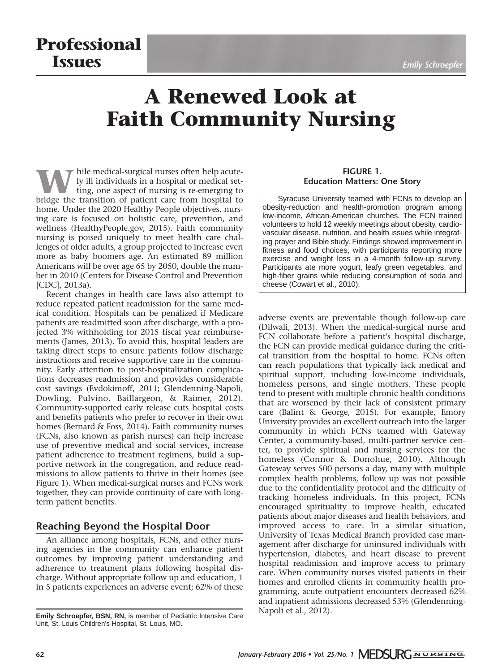# **Professional ISSUES** *Emily Schroepfer*

# **A Renewed Look at Faith Community Nursing**

W hile medical-surgical nurses often help acute-<br>ting, one aspect of nursing is re-emerging to<br>bridge the transition of natient care from hospital to ly ill individuals in a hospital or medical setbridge the transition of patient care from hospital to home. Under the 2020 Healthy People objectives, nursing care is focused on holistic care, prevention, and wellness (HealthyPeople.gov, 2015). Faith community nursing is poised uniquely to meet health care challenges of older adults, a group projected to increase even more as baby boomers age. An estimated 89 million Americans will be over age 65 by 2050, double the number in 2010 (Centers for Disease Control and Prevention [CDC], 2013a).

Recent changes in health care laws also attempt to reduce repeated patient readmission for the same medical condition. Hospitals can be penalized if Medicare patients are readmitted soon after discharge, with a projected 3% withholding for 2015 fiscal year reimbursements (James, 2013). To avoid this, hospital leaders are taking direct steps to ensure patients follow discharge instructions and receive supportive care in the community. Early attention to post-hospitalization complications decreases readmission and provides considerable cost savings (Evdokimoff, 2011; Glendenning-Napoli, Dowling, Pulvino, Baillargeon, & Raimer, 2012). Community-supported early release cuts hospital costs and benefits patients who prefer to recover in their own homes (Bernard & Foss, 2014). Faith community nurses (FCNs, also known as parish nurses) can help increase use of preventive medical and social services, increase patient adherence to treatment regimens, build a supportive network in the congregation, and reduce readmissions to allow patients to thrive in their homes (see Figure 1). When medical-surgical nurses and FCNs work together, they can provide continuity of care with longterm patient benefits.

# **Reaching Beyond the Hospital Door**

An alliance among hospitals, FCNs, and other nursing agencies in the community can enhance patient outcomes by improving patient understanding and adherence to treatment plans following hospital discharge. Without appropriate follow up and education, 1 in 5 patients experiences an adverse event; 62% of these

#### **FIGURE 1. Education Matters: One Story**

Syracuse University teamed with FCNs to develop an obesity-reduction and health-promotion program among low-income, African-American churches. The FCN trained volunteers to hold 12 weekly meetings about obesity, cardiovascular disease, nutrition, and health issues while integrating prayer and Bible study. Findings showed improvement in fitness and food choices, with participants reporting more exercise and weight loss in a 4-month follow-up survey. Participants ate more yogurt, leafy green vegetables, and high-fiber grains while reducing consumption of soda and cheese (Cowart et al., 2010).

adverse events are preventable though follow-up care (Dilwali, 2013). When the medical-surgical nurse and FCN collaborate before a patient's hospital discharge, the FCN can provide medical guidance during the critical transition from the hospital to home. FCNs often can reach populations that typically lack medical and spiritual support, including low-income individuals, homeless persons, and single mothers. These people tend to present with multiple chronic health conditions that are worsened by their lack of consistent primary care (Balint & George, 2015). For example, Emory University provides an excellent outreach into the larger community in which FCNs teamed with Gateway Center, a community-based, multi-partner service center, to provide spiritual and nursing services for the homeless (Connor & Donohue, 2010). Although Gateway serves 500 persons a day, many with multiple complex health problems, follow up was not possible due to the confidentiality protocol and the difficulty of tracking homeless individuals. In this project, FCNs encouraged spirituality to improve health, educated patients about major diseases and health behaviors, and improved access to care. In a similar situation, University of Texas Medical Branch provided case management after discharge for uninsured individuals with hypertension, diabetes, and heart disease to prevent hospital readmission and improve access to primary care. When community nurses visited patients in their homes and enrolled clients in community health programming, acute outpatient encounters decreased 62% and inpatient admissions decreased 53% (Glendenning-Napoli et al., 2012).

**Emily Schroepfer, BSN, RN,** is member of Pediatric Intensive Care Unit, St. Louis Children's Hospital, St. Louis, MO.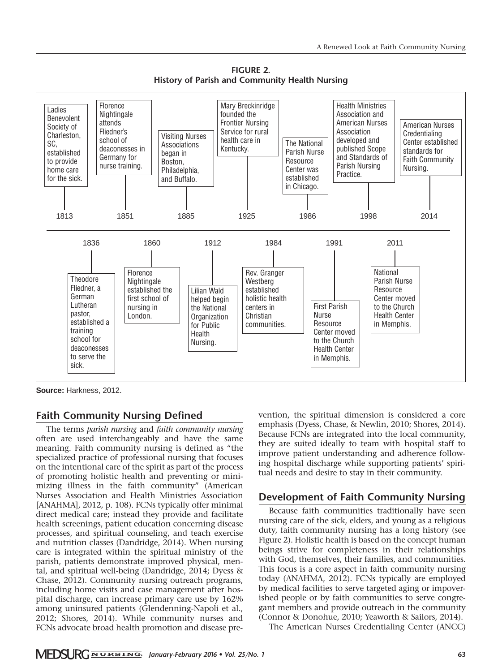**FIGURE 2. History of Parish and Community Health Nursing** 



**Source:** Harkness, 2012.

#### **Faith Community Nursing Defined**

The terms *parish nursing* and *faith community nursing* often are used interchangeably and have the same meaning. Faith community nursing is defined as "the specialized practice of professional nursing that focuses on the intentional care of the spirit as part of the process of promoting holistic health and preventing or minimizing illness in the faith community" (American Nurses Association and Health Ministries Association [ANAHMA], 2012, p. 108). FCNs typically offer minimal direct medical care; instead they provide and facilitate health screenings, patient education concerning disease processes, and spiritual counseling, and teach exercise and nutrition classes (Dandridge, 2014). When nursing care is integrated within the spiritual ministry of the parish, patients demonstrate improved physical, mental, and spiritual well-being (Dandridge, 2014; Dyess & Chase, 2012). Community nursing outreach programs, including home visits and case management after hospital discharge, can increase primary care use by 162% among uninsured patients (Glendenning-Napoli et al., 2012; Shores, 2014). While community nurses and FCNs advocate broad health promotion and disease prevention, the spiritual dimension is considered a core emphasis (Dyess, Chase, & Newlin, 2010; Shores, 2014). Because FCNs are integrated into the local community, they are suited ideally to team with hospital staff to improve patient understanding and adherence following hospital discharge while supporting patients' spiritual needs and desire to stay in their community.

#### **Development of Faith Community Nursing**

Because faith communities traditionally have seen nursing care of the sick, elders, and young as a religious duty, faith community nursing has a long history (see Figure 2). Holistic health is based on the concept human beings strive for completeness in their relationships with God, themselves, their families, and communities. This focus is a core aspect in faith community nursing today (ANAHMA, 2012). FCNs typically are employed by medical facilities to serve targeted aging or impoverished people or by faith communities to serve congregant members and provide outreach in the community (Connor & Donohue, 2010; Yeaworth & Sailors, 2014).

The American Nurses Credentialing Center (ANCC)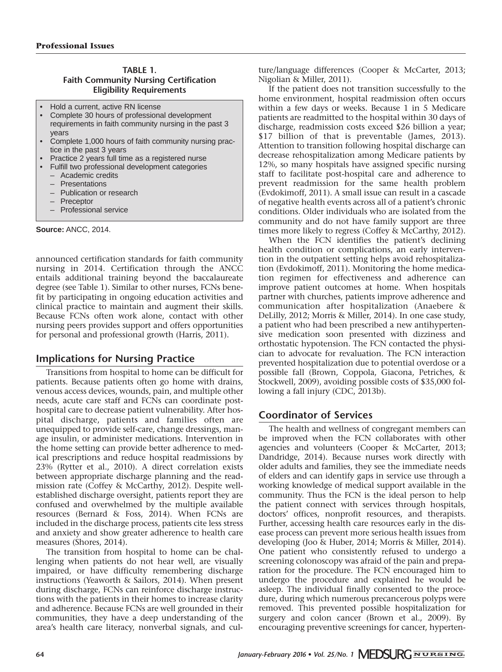#### **TABLE 1. Faith Community Nursing Certification Eligibility Requirements**

- Hold a current, active RN license
- Complete 30 hours of professional development requirements in faith community nursing in the past 3 years
- Complete 1,000 hours of faith community nursing practice in the past 3 years
- Practice 2 years full time as a registered nurse
- Fulfill two professional development categories
	- Academic credits
	- **Presentations**
	- Publication or research
	- Preceptor
	- Professional service

**Source:** ANCC, 2014.

announced certification standards for faith community nursing in 2014. Certification through the ANCC entails additional training beyond the baccalaureate degree (see Table 1). Similar to other nurses, FCNs benefit by participating in ongoing education activities and clinical practice to maintain and augment their skills. Because FCNs often work alone, contact with other nursing peers provides support and offers opportunities for personal and professional growth (Harris, 2011).

# **Implications for Nursing Practice**

Transitions from hospital to home can be difficult for patients. Because patients often go home with drains, venous access devices, wounds, pain, and multiple other needs, acute care staff and FCNs can coordinate posthospital care to decrease patient vulnerability. After hospital discharge, patients and families often are unequipped to provide self-care, change dressings, manage insulin, or administer medications. Intervention in the home setting can provide better adherence to medical prescriptions and reduce hospital readmissions by 23% (Rytter et al., 2010). A direct correlation exists between appropriate discharge planning and the readmission rate (Coffey & McCarthy, 2012). Despite wellestablished discharge oversight, patients report they are confused and overwhelmed by the multiple available resources (Bernard & Foss, 2014). When FCNs are included in the discharge process, patients cite less stress and anxiety and show greater adherence to health care measures (Shores, 2014).

The transition from hospital to home can be challenging when patients do not hear well, are visually impaired, or have difficulty remembering discharge instructions (Yeaworth & Sailors, 2014). When present during discharge, FCNs can reinforce discharge instructions with the patients in their homes to increase clarity and adherence. Because FCNs are well grounded in their communities, they have a deep understanding of the area's health care literacy, nonverbal signals, and cul-

ture/language differences (Cooper & McCarter, 2013; Nigolian & Miller, 2011).

If the patient does not transition successfully to the home environment, hospital readmission often occurs within a few days or weeks. Because 1 in 5 Medicare patients are readmitted to the hospital within 30 days of discharge, readmission costs exceed \$26 billion a year; \$17 billion of that is preventable (James, 2013). Attention to transition following hospital discharge can decrease rehospitalization among Medicare patients by 12%, so many hospitals have assigned specific nursing staff to facilitate post-hospital care and adherence to prevent readmission for the same health problem (Evdokimoff, 2011). A small issue can result in a cascade of negative health events across all of a patient's chronic conditions. Older individuals who are isolated from the community and do not have family support are three times more likely to regress (Coffey & McCarthy, 2012).

When the FCN identifies the patient's declining health condition or complications, an early intervention in the outpatient setting helps avoid rehospitalization (Evdokimoff, 2011). Monitoring the home medication regimen for effectiveness and adherence can improve patient outcomes at home. When hospitals partner with churches, patients improve adherence and communication after hospitalization (Anaebere & DeLilly, 2012; Morris & Miller, 2014). In one case study, a patient who had been prescribed a new antihypertensive medication soon presented with dizziness and orthostatic hypotension. The FCN contacted the physician to advocate for revaluation. The FCN interaction prevented hospitalization due to potential overdose or a possible fall (Brown, Coppola, Giacona, Petriches, & Stockwell, 2009), avoiding possible costs of \$35,000 following a fall injury (CDC, 2013b).

# **Coordinator of Services**

The health and wellness of congregant members can be improved when the FCN collaborates with other agencies and volunteers (Cooper & McCarter, 2013; Dandridge, 2014). Because nurses work directly with older adults and families, they see the immediate needs of elders and can identify gaps in service use through a working knowledge of medical support available in the community. Thus the FCN is the ideal person to help the patient connect with services through hospitals, doctors' offices, nonprofit resources, and therapists. Further, accessing health care resources early in the disease process can prevent more serious health issues from developing (Joo & Huber, 2014; Morris & Miller, 2014). One patient who consistently refused to undergo a screening colonoscopy was afraid of the pain and preparation for the procedure. The FCN encouraged him to undergo the procedure and explained he would be asleep. The individual finally consented to the procedure, during which numerous precancerous polyps were removed. This prevented possible hospitalization for surgery and colon cancer (Brown et al., 2009). By encouraging preventive screenings for cancer, hyperten-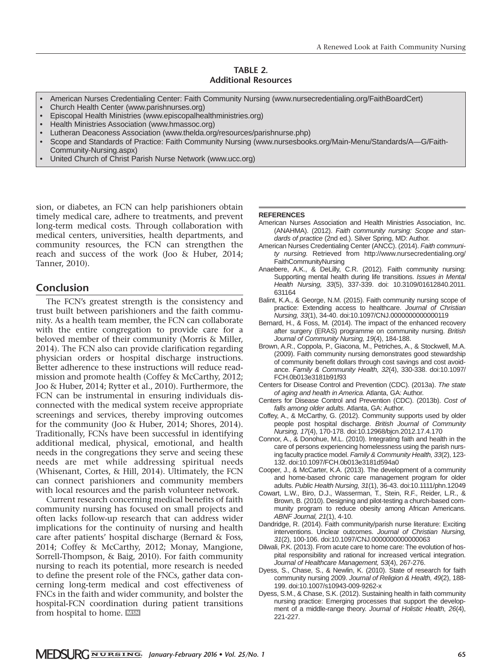#### **TABLE 2. Additional Resources**

- American Nurses Credentialing Center: Faith Community Nursing (www.nursecredentialing.org/FaithBoardCert)
- Church Health Center (www.parishnurses.org)
- Episcopal Health Ministries (www.episcopalhealthministries.org)
- Health Ministries Association (www.hmassoc.org)
- Lutheran Deaconess Association (www.thelda.org/resources/parishnurse.php)
- Scope and Standards of Practice: Faith Community Nursing (www.nursesbooks.org/Main-Menu/Standards/A—G/Faith-Community-Nursing.aspx)
- United Church of Christ Parish Nurse Network (www.ucc.org)

sion, or diabetes, an FCN can help parishioners obtain timely medical care, adhere to treatments, and prevent long-term medical costs. Through collaboration with medical centers, universities, health departments, and community resources, the FCN can strengthen the reach and success of the work (Joo & Huber, 2014; Tanner, 2010).

#### **Conclusion**

The FCN's greatest strength is the consistency and trust built between parishioners and the faith community. As a health team member, the FCN can collaborate with the entire congregation to provide care for a beloved member of their community (Morris & Miller, 2014). The FCN also can provide clarification regarding physician orders or hospital discharge instructions. Better adherence to these instructions will reduce readmission and promote health (Coffey & McCarthy, 2012; Joo & Huber, 2014; Rytter et al., 2010). Furthermore, the FCN can be instrumental in ensuring individuals disconnected with the medical system receive appropriate screenings and services, thereby improving outcomes for the community (Joo & Huber, 2014; Shores, 2014). Traditionally, FCNs have been successful in identifying additional medical, physical, emotional, and health needs in the congregations they serve and seeing these needs are met while addressing spiritual needs (Whisenant, Cortes, & Hill, 2014). Ultimately, the FCN can connect parishioners and community members with local resources and the parish volunteer network.

Current research concerning medical benefits of faith community nursing has focused on small projects and often lacks follow-up research that can address wider implications for the continuity of nursing and health care after patients' hospital discharge (Bernard & Foss, 2014; Coffey & McCarthy, 2012; Monay, Mangione, Sorrell-Thompson, & Baig, 2010). For faith community nursing to reach its potential, more research is needed to define the present role of the FNCs, gather data concerning long-term medical and cost effectiveness of FNCs in the faith and wider community, and bolster the hospital-FCN coordination during patient transitions from hospital to home.

#### **REFERENCES**

- American Nurses Association and Health Ministries Association, Inc. (ANAHMA). (2012). *Faith community nursing: Scope and standards of practice* (2nd ed.). Silver Spring, MD: Author.
- American Nurses Credentialing Center (ANCC). (2014). *Faith community nursing.* Retrieved from http://www.nursecredentialing.org/ FaithCommunityNursing
- Anaebere, A.K., & DeLilly, C.R. (2012). Faith community nursing: Supporting mental health during life transitions. *Issues in Mental Health Nursing, 33*(5), 337-339. doi: 10.3109/01612840.2011. 631164
- Balint, K.A., & George, N.M. (2015). Faith community nursing scope of practice: Extending access to healthcare. *Journal of Christian Nursing, 33*(1), 34-40. doi:10.1097/CNJ.0000000000000119
- Bernard, H., & Foss, M. (2014). The impact of the enhanced recovery after surgery (ERAS) programme on community nursing. *British Journal of Community Nursing, 19*(4), 184-188.
- Brown, A.R., Coppola, P., Giacona, M., Petriches, A., & Stockwell, M.A. (2009). Faith community nursing demonstrates good stewardship of community benefit dollars through cost savings and cost avoidance. *Family & Community Health, 32*(4), 330-338. doi:10.1097/ FCH.0b013e3181b91f93
- Centers for Disease Control and Prevention (CDC). (2013a). *The state of aging and health in America.* Atlanta, GA: Author.
- Centers for Disease Control and Prevention (CDC). (2013b). *Cost of falls among older adults.* Atlanta, GA: Author.
- Coffey, A., & McCarthy, G. (2012). Community supports used by older people post hospital discharge. *British Journal of Community Nursing, 17*(4), 170-178. doi:10.12968/bjcn.2012.17.4.170
- Connor, A., & Donohue, M.L. (2010). Integrating faith and health in the care of persons experiencing homelessness using the parish nursing faculty practice model. *Family & Community Health, 33*(2), 123- 132. doi:10.1097/FCH.0b013e3181d594a0
- Cooper, J., & McCarter, K.A. (2013). The development of a community and home-based chronic care management program for older adults. *Public Health Nursing, 31*(1), 36-43. doi:10.1111/phn.12049
- Cowart, L.W., Biro, D.J., Wasserman, T., Stein, R.F., Reider, L.R., & Brown, B. (2010). Designing and pilot-testing a church-based community program to reduce obesity among African Americans. *ABNF Journal, 21*(1), 4-10.
- Dandridge, R. (2014). Faith community/parish nurse literature: Exciting interventions. Unclear outcomes. *Journal of Christian Nursing, 31*(2), 100-106. doi:10.1097/CNJ.0000000000000063
- Dilwali, P.K. (2013). From acute care to home care: The evolution of hospital responsibility and rational for increased vertical integration. *Journal of Healthcare Management, 53*(4), 267-276.
- Dyess, S., Chase, S., & Newlin, K. (2010). State of research for faith community nursing 2009. *Journal of Religion & Health, 49*(2), 188- 199. doi:10.1007/s10943-009-9262-x
- Dyess, S.M., & Chase, S.K. (2012). Sustaining health in faith community nursing practice: Emerging processes that support the development of a middle-range theory. *Journal of Holistic Health, 26*(4), 221-227.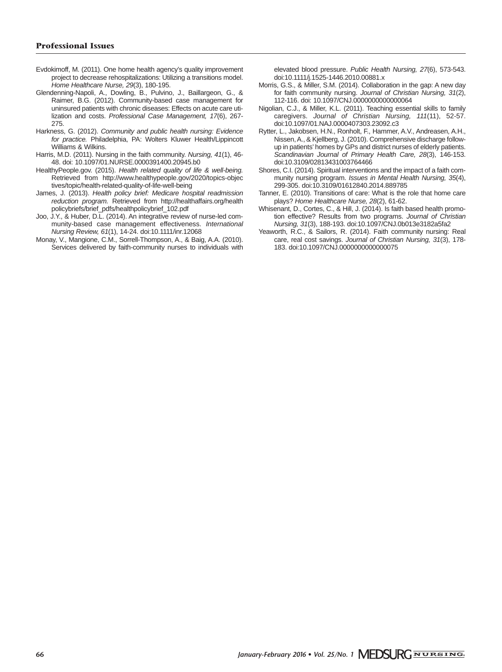- Evdokimoff, M. (2011). One home health agency's quality improvement project to decrease rehospitalizations: Utilizing a transitions model. *Home Healthcare Nurse, 29*(3), 180-195.
- Glendenning-Napoli, A., Dowling, B., Pulvino, J., Baillargeon, G., & Raimer, B.G. (2012). Community-based case management for uninsured patients with chronic diseases: Effects on acute care utilization and costs. *Professional Case Management, 17*(6), 267- 275.
- Harkness, G. (2012). *Community and public health nursing: Evidence for practice.* Philadelphia, PA: Wolters Kluwer Health/Lippincott Williams & Wilkins.
- Harris, M.D. (2011). Nursing in the faith community. *Nursing, 41*(1), 46- 48. doi: 10.1097/01.NURSE.0000391400.20945.b0
- HealthyPeople.gov. (2015). *Health related quality of life & well-being.* Retrieved from http://www.healthypeople.gov/2020/topics-objec tives/topic/health-related-quality-of-life-well-being
- James, J. (2013). *Health policy brief: Medicare hospital readmission reduction program.* Retrieved from http://healthaffairs.org/health policybriefs/brief\_pdfs/healthpolicybrief\_102.pdf
- Joo, J.Y., & Huber, D.L. (2014). An integrative review of nurse-led community-based case management effectiveness. *International Nursing Review, 61*(1), 14-24. doi:10.1111/inr.12068
- Monay, V., Mangione, C.M., Sorrell-Thompson, A., & Baig, A.A. (2010). Services delivered by faith-community nurses to individuals with

elevated blood pressure. *Public Health Nursing, 27*(6), 573-543. doi:10.1111/j.1525-1446.2010.00881.x

- Morris, G.S., & Miller, S.M. (2014). Collaboration in the gap: A new day for faith community nursing. *Journal of Christian Nursing, 31*(2), 112-116. doi: 10.1097/CNJ.0000000000000064
- Nigolian, C.J., & Miller, K.L. (2011). Teaching essential skills to family caregivers. *Journal of Christian Nursing, 111*(11), 52-57. doi:10.1097/01.NAJ.0000407303.23092.c3
- Rytter, L., Jakobsen, H.N., Ronholt, F., Hammer, A.V., Andreasen, A.H., Nissen, A., & Kjellberg, J. (2010). Comprehensive discharge followup in patients' homes by GPs and district nurses of elderly patients. *Scandinavian Journal of Primary Health Care, 28*(3), 146-153. doi:10.3109/02813431003764466
- Shores, C.I. (2014). Spiritual interventions and the impact of a faith community nursing program. *Issues in Mental Health Nursing, 35*(4), 299-305. doi:10.3109/01612840.2014.889785
- Tanner, E. (2010). Transitions of care: What is the role that home care plays? *Home Healthcare Nurse, 28*(2), 61-62.
- Whisenant, D., Cortes, C., & Hill, J. (2014). Is faith based health promotion effective? Results from two programs. *Journal of Christian Nursing, 31*(3), 188-193. doi:10.1097/CNJ.0b013e3182a5fa2
- Yeaworth, R.C., & Sailors, R. (2014). Faith community nursing: Real care, real cost savings. *Journal of Christian Nursing, 31*(3), 178- 183. doi:10.1097/CNJ.0000000000000075